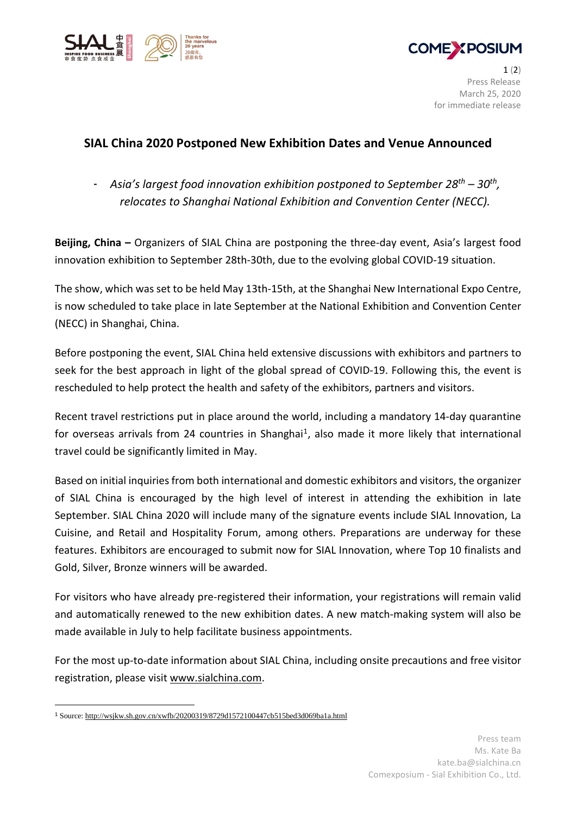



 $1(2)$ Press Release March 25, 2020 for immediate release

# **SIAL China 2020 Postponed New Exhibition Dates and Venue Announced**

- *Asia's largest food innovation exhibition postponed to September 28th – 30th , relocates to Shanghai National Exhibition and Convention Center (NECC).*

**Beijing, China –** Organizers of SIAL China are postponing the three-day event, Asia's largest food innovation exhibition to September 28th-30th, due to the evolving global COVID-19 situation.

The show, which was set to be held May 13th-15th, at the Shanghai New International Expo Centre, is now scheduled to take place in late September at the National Exhibition and Convention Center (NECC) in Shanghai, China.

Before postponing the event, SIAL China held extensive discussions with exhibitors and partners to seek for the best approach in light of the global spread of COVID-19. Following this, the event is rescheduled to help protect the health and safety of the exhibitors, partners and visitors.

Recent travel restrictions put in place around the world, including a mandatory 14-day quarantine for overseas arrivals from 24 countries in Shanghai<sup>1</sup>, also made it more likely that international travel could be significantly limited in May.

Based on initial inquiries from both international and domestic exhibitors and visitors, the organizer of SIAL China is encouraged by the high level of interest in attending the exhibition in late September. SIAL China 2020 will include many of the signature events include SIAL Innovation, La Cuisine, and Retail and Hospitality Forum, among others. Preparations are underway for these features. Exhibitors are encouraged to submit now for SIAL Innovation, where Top 10 finalists and Gold, Silver, Bronze winners will be awarded.

For visitors who have already pre-registered their information, your registrations will remain valid and automatically renewed to the new exhibition dates. A new match-making system will also be made available in July to help facilitate business appointments.

For the most up-to-date information about SIAL China, including onsite precautions and free visitor registration, please visit [www.sialchina.com.](http://www.sialchina.com/)

<sup>1</sup> Source: <http://wsjkw.sh.gov.cn/xwfb/20200319/8729d1572100447cb515bed3d069ba1a.html>